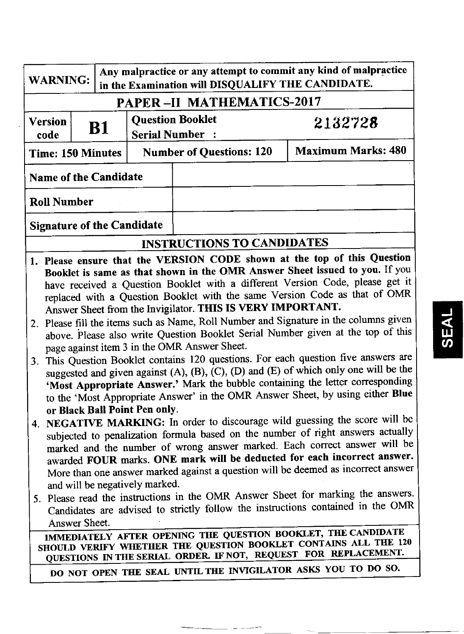|                                                                                                                                                                                                                                                                                                                                                                                                                                                                                                                                                                                                                                                                                                                                                                                                                                                                                                                                                                                   | <b>WARNING:</b>                                                                                                                                                                                                                                                                                                                                                                                                                                                                                                                                                                                                                                                                                                                          |           |                      |                                   | Any malpractice or any attempt to commit any kind of malpractice |  |  |  |
|-----------------------------------------------------------------------------------------------------------------------------------------------------------------------------------------------------------------------------------------------------------------------------------------------------------------------------------------------------------------------------------------------------------------------------------------------------------------------------------------------------------------------------------------------------------------------------------------------------------------------------------------------------------------------------------------------------------------------------------------------------------------------------------------------------------------------------------------------------------------------------------------------------------------------------------------------------------------------------------|------------------------------------------------------------------------------------------------------------------------------------------------------------------------------------------------------------------------------------------------------------------------------------------------------------------------------------------------------------------------------------------------------------------------------------------------------------------------------------------------------------------------------------------------------------------------------------------------------------------------------------------------------------------------------------------------------------------------------------------|-----------|----------------------|-----------------------------------|------------------------------------------------------------------|--|--|--|
|                                                                                                                                                                                                                                                                                                                                                                                                                                                                                                                                                                                                                                                                                                                                                                                                                                                                                                                                                                                   | in the Examination will DISQUALIFY THE CANDIDATE.                                                                                                                                                                                                                                                                                                                                                                                                                                                                                                                                                                                                                                                                                        |           |                      |                                   |                                                                  |  |  |  |
|                                                                                                                                                                                                                                                                                                                                                                                                                                                                                                                                                                                                                                                                                                                                                                                                                                                                                                                                                                                   |                                                                                                                                                                                                                                                                                                                                                                                                                                                                                                                                                                                                                                                                                                                                          |           |                      | <b>PAPER-II MATHEMATICS-2017</b>  |                                                                  |  |  |  |
|                                                                                                                                                                                                                                                                                                                                                                                                                                                                                                                                                                                                                                                                                                                                                                                                                                                                                                                                                                                   | <b>Version</b>                                                                                                                                                                                                                                                                                                                                                                                                                                                                                                                                                                                                                                                                                                                           | <b>B1</b> |                      | <b>Question Booklet</b>           | 2132728                                                          |  |  |  |
|                                                                                                                                                                                                                                                                                                                                                                                                                                                                                                                                                                                                                                                                                                                                                                                                                                                                                                                                                                                   | code                                                                                                                                                                                                                                                                                                                                                                                                                                                                                                                                                                                                                                                                                                                                     |           | <b>Serial Number</b> |                                   |                                                                  |  |  |  |
|                                                                                                                                                                                                                                                                                                                                                                                                                                                                                                                                                                                                                                                                                                                                                                                                                                                                                                                                                                                   | <b>Maximum Marks: 480</b><br><b>Number of Questions: 120</b><br><b>Time: 150 Minutes</b>                                                                                                                                                                                                                                                                                                                                                                                                                                                                                                                                                                                                                                                 |           |                      |                                   |                                                                  |  |  |  |
|                                                                                                                                                                                                                                                                                                                                                                                                                                                                                                                                                                                                                                                                                                                                                                                                                                                                                                                                                                                   | <b>Name of the Candidate</b>                                                                                                                                                                                                                                                                                                                                                                                                                                                                                                                                                                                                                                                                                                             |           |                      |                                   |                                                                  |  |  |  |
|                                                                                                                                                                                                                                                                                                                                                                                                                                                                                                                                                                                                                                                                                                                                                                                                                                                                                                                                                                                   | <b>Roll Number</b>                                                                                                                                                                                                                                                                                                                                                                                                                                                                                                                                                                                                                                                                                                                       |           |                      |                                   |                                                                  |  |  |  |
|                                                                                                                                                                                                                                                                                                                                                                                                                                                                                                                                                                                                                                                                                                                                                                                                                                                                                                                                                                                   | <b>Signature of the Candidate</b>                                                                                                                                                                                                                                                                                                                                                                                                                                                                                                                                                                                                                                                                                                        |           |                      |                                   |                                                                  |  |  |  |
|                                                                                                                                                                                                                                                                                                                                                                                                                                                                                                                                                                                                                                                                                                                                                                                                                                                                                                                                                                                   |                                                                                                                                                                                                                                                                                                                                                                                                                                                                                                                                                                                                                                                                                                                                          |           |                      | <b>INSTRUCTIONS TO CANDIDATES</b> |                                                                  |  |  |  |
| 1. Please ensure that the VERSION CODE shown at the top of this Question<br>Booklet is same as that shown in the OMR Answer Sheet issued to you. If you<br>have received a Question Booklet with a different Version Code, please get it<br>replaced with a Question Booklet with the same Version Code as that of OMR<br>Answer Sheet from the Invigilator. THIS IS VERY IMPORTANT.<br>2. Please fill the items such as Name, Roll Number and Signature in the columns given<br>above. Please also write Question Booklet Serial Number given at the top of this<br>page against item 3 in the OMR Answer Sheet.<br>3. This Question Booklet contains 120 questions. For each question five answers are<br>suggested and given against $(A)$ , $(B)$ , $(C)$ , $(D)$ and $(E)$ of which only one will be the<br>'Most Appropriate Answer.' Mark the bubble containing the letter corresponding<br>to the 'Most Appropriate Answer' in the OMR Answer Sheet, by using either Blue |                                                                                                                                                                                                                                                                                                                                                                                                                                                                                                                                                                                                                                                                                                                                          |           |                      |                                   |                                                                  |  |  |  |
|                                                                                                                                                                                                                                                                                                                                                                                                                                                                                                                                                                                                                                                                                                                                                                                                                                                                                                                                                                                   | or Black Ball Point Pen only.<br>4. NEGATIVE MARKING: In order to discourage wild guessing the score will be<br>subjected to penalization formula based on the number of right answers actually<br>marked and the number of wrong answer marked. Each correct answer will be<br>awarded FOUR marks. ONE mark will be deducted for each incorrect answer.<br>More than one answer marked against a question will be deemed as incorrect answer<br>and will be negatively marked.<br>5. Please read the instructions in the OMR Answer Sheet for marking the answers.<br>Candidates are advised to strictly follow the instructions contained in the OMR<br>Answer Sheet.<br>IMMEDIATELY AFTER OPENING THE QUESTION BOOKLET, THE CANDIDATE |           |                      |                                   |                                                                  |  |  |  |

IMMEDIATELT AT THE COLUMN COURTION BOOKLET CONTAINS ALL THE 120<br>SHOULD VERIFY WHETHER THE QUESTION BOOKLET FOR BERLACEMENT QUESTIONS IN THE SERIAL ORDER. IF NOT, REQUEST FOR REPLACEMENT

DO NOT OPEN THE SEAL UNTIL THE INVIGILATOR ASKS YOU TO DO SO.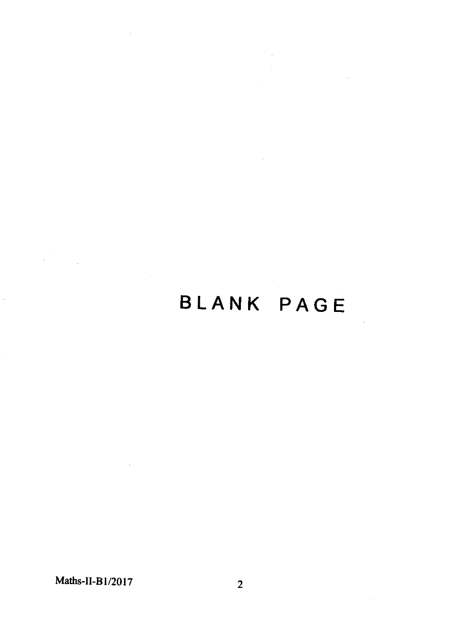# BLANK PAGE

 $\bar{z}$ 

 $\mathcal{L}^{\text{max}}_{\text{max}}$  ,  $\mathcal{L}^{\text{max}}_{\text{max}}$ 

Maths-II-B1/2017 2

 $\mathcal{L}^{\text{max}}_{\text{max}}$  and  $\mathcal{L}^{\text{max}}_{\text{max}}$ 

 $\mathcal{L}^{\text{max}}_{\text{max}}$ 

 $\hat{\mathcal{A}}$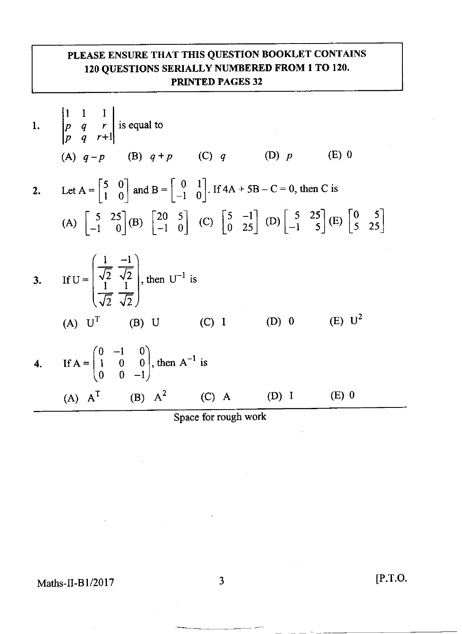### PLEASE ENSURE THAT THIS QUESTION BOOKLET CONTAINS 120 QUESTIONS SERIALLY NUMBERED FROM 1 TO 120. PRINTED PAGES 32

1. 
$$
\begin{vmatrix} 1 & 1 & 1 \ p & q & r \ p & q & r+1 \end{vmatrix}
$$
 is equal to  
\n(A)  $q-p$  (B)  $q+p$  (C)  $q$  (D)  $p$  (E) 0  
\n2. Let  $A = \begin{bmatrix} 5 & 0 \ 1 & 0 \end{bmatrix}$  and  $B = \begin{bmatrix} 0 & 1 \ -1 & 0 \end{bmatrix}$ . If  $4A + 5B - C = 0$ , then C is  
\n(A)  $\begin{bmatrix} 5 & 25 \ -1 & 0 \end{bmatrix}$  (B)  $\begin{bmatrix} 20 & 5 \ -1 & 0 \end{bmatrix}$  (C)  $\begin{bmatrix} 5 & -1 \ 0 & 25 \end{bmatrix}$  (D)  $\begin{bmatrix} 5 & 25 \ -1 & 5 \end{bmatrix}$  (E)  $\begin{bmatrix} 0 & 5 \ 5 & 25 \end{bmatrix}$   
\n3. If  $U = \begin{bmatrix} \frac{1}{\sqrt{2}} & \frac{-1}{\sqrt{2}} \\ \frac{1}{\sqrt{2}} & \frac{1}{\sqrt{2}} \end{bmatrix}$ , then  $U^{-1}$  is  
\n(A)  $U^{T}$  (B)  $U$  (C)  $I$  (D) 0 (E)  $U^{2}$   
\n4. If  $A = \begin{bmatrix} 0 & -1 & 0 \\ 1 & 0 & 0 \\ 0 & 0 & -1 \end{bmatrix}$ , then  $A^{-1}$  is  
\n(A)  $A^{T}$  (B)  $A^{2}$  (C)  $A$  (D)  $I$  (E) 0

Space for rough work

Maths-II-B1/2017 3 [P.T.O.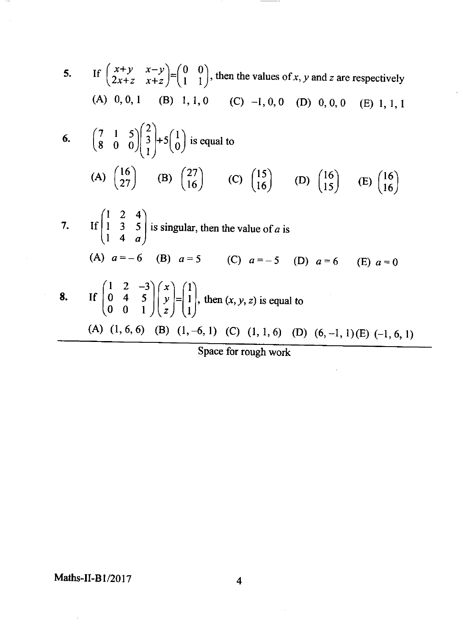5. If 
$$
\begin{pmatrix} x+y & x-y \ 2x+z & x+z \end{pmatrix} = \begin{pmatrix} 0 & 0 \ 1 & 1 \end{pmatrix}
$$
, then the values of x, y and z are respectively  
\n(A) 0, 0, 1 (B) 1, 1, 0 (C) -1, 0, 0 (D) 0, 0, 0 (E) 1, 1, 1  
\n6.  $\begin{pmatrix} 7 & 1 & 5 \\ 8 & 0 & 0 \end{pmatrix} \begin{pmatrix} 2 \\ 3 \\ 1 \end{pmatrix} + 5 \begin{pmatrix} 1 \\ 0 \end{pmatrix}$  is equal to  
\n(A)  $\begin{pmatrix} 16 \\ 27 \end{pmatrix}$  (B)  $\begin{pmatrix} 27 \\ 16 \end{pmatrix}$  (C)  $\begin{pmatrix} 15 \\ 16 \end{pmatrix}$  (D)  $\begin{pmatrix} 16 \\ 15 \end{pmatrix}$  (E)  $\begin{pmatrix} 16 \\ 16 \end{pmatrix}$   
\n7. If  $\begin{pmatrix} 1 & 2 & 4 \\ 1 & 3 & 5 \\ 1 & 3 & 5 \end{pmatrix}$  is singular, then the value of a is

\_\_\_\_\_

 $\hat{\mathcal{L}}$ 

7. If 
$$
\begin{pmatrix} 1 & 2 & 4 \ 1 & 3 & 5 \ 1 & 4 & a \end{pmatrix}
$$
 is singular, then the value of *a* is  
\n(A)  $a = -6$  (B)  $a = 5$  (C)  $a = -5$  (D)  $a = 6$  (E)  $a = 0$   
\n8. If  $\begin{pmatrix} 1 & 2 & -3 \ 0 & 4 & 5 \ 0 & 0 & 1 \end{pmatrix} \begin{pmatrix} x \ y \ z \end{pmatrix} = \begin{pmatrix} 1 \ 1 \ 1 \end{pmatrix}$ , then  $(x, y, z)$  is equal to  
\n(A) (1, 6, 6) (B) (1, -6, 1) (C) (1, 1, 6) (D) (6, -1, 1)(E) (-1, 6, 1)

Space for rough work

Maths-II-Bl/2017 <sup>4</sup>

 $\overline{\phantom{a}}$ 

 $\bar{\gamma}$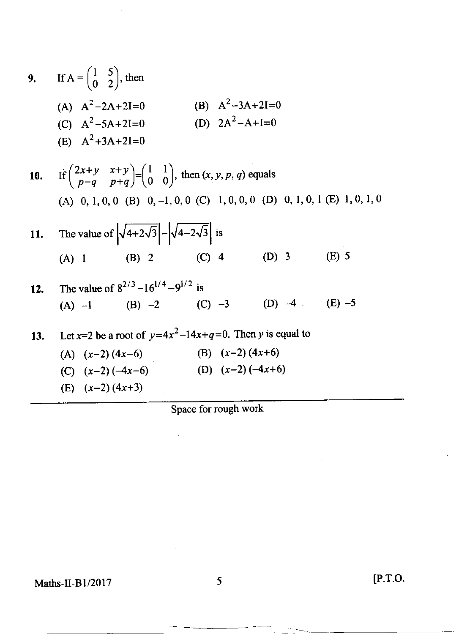9. If A = 
$$
\begin{pmatrix} 1 & 5 \ 0 & 2 \end{pmatrix}
$$
, then  
\n(A) A<sup>2</sup>-2A+2I=0 (B) A<sup>2</sup>-3A+2I=0  
\n(C) A<sup>2</sup>-5A+2I=0 (D) 2A<sup>2</sup>-A+I=0  
\n(E) A<sup>2</sup>+3A+2I=0 (E) A<sup>2</sup>+3A+2I=0  
\n10. If  $\begin{pmatrix} 2x+y & x+y \ p-q & p+q \end{pmatrix} = \begin{pmatrix} 1 & 1 \ 0 & 0 \end{pmatrix}$ , then  $(x, y, p, q)$  equals  
\n(A) 0, 1, 0, 0 (B) 0, -1, 0, 0 (C) 1, 0, 0, 0 (D) 0, 1, 0, 1 (E) 1, 0, 1, 0  
\n11. The value of  $\sqrt{4+2\sqrt{3}}\begin{vmatrix} -\sqrt{4-2\sqrt{3}} \\ 4-2\sqrt{3} \end{vmatrix}$  is  
\n(A) 1 (B) 2 (C) 4 (D) 3 (E) 5  
\n12. The value of  $8^{2/3}$ -16<sup>1/4</sup>-9<sup>1/2</sup> is  
\n(A) -1 (B) -2 (C) -3 (D) -4 (E) -5  
\n13. Let  $x=2$  be a root of  $y=4x^2-14x+q=0$ . Then y is equal to  
\n(A)  $(x-2)(4x-6)$  (B)  $(x-2)(4x+6)$   
\n(C)  $(x-2)(-4x-6)$  (D)  $(x-2)(-4x+6)$   
\n(E)  $(x-2)(4x+3)$ 

 $\overline{\phantom{a}}$ 

Maths-II-B1/2017 5 [P.T.O.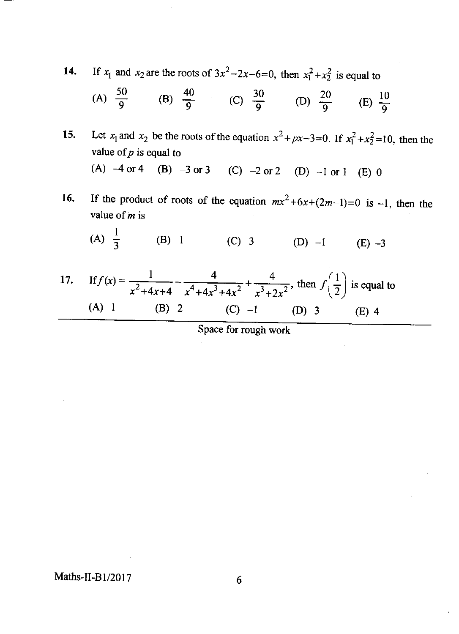14. If  $x_1$  and  $x_2$  are the roots of  $3x^2-2x-6=0$ , then  $x_1^2+x_2^2$  is equal to

(A) 
$$
\frac{50}{9}
$$
 (B)  $\frac{40}{9}$  (C)  $\frac{30}{9}$  (D)  $\frac{20}{9}$  (E)  $\frac{10}{9}$ 

- 15. Let  $x_1$  and  $x_2$  be the roots of the equation  $x^2 + px 3 = 0$ . If  $x_1^2 + x_2^2 = 10$ , then the value of  $p$  is equal to (A)  $-4$  or 4 (B)  $-3$  or 3 (C)  $-2$  or 2 (D)  $-1$  or 1 (E) 0
- 16. If the product of roots of the equation  $mx^2+6x+(2m-1)=0$  is  $-1$ , then the value of  $m$  is

(A) 
$$
\frac{1}{3}
$$
 (B) 1 (C) 3 (D) -1 (E) -3

17. If 
$$
f(x) = \frac{1}{x^2 + 4x + 4} - \frac{4}{x^4 + 4x^3 + 4x^2} + \frac{4}{x^3 + 2x^2}
$$
, then  $f(\frac{1}{2})$  is equal to  
\n(A) 1 (B) 2 (C) -1 (D) 3 (E) 4

Space for rough work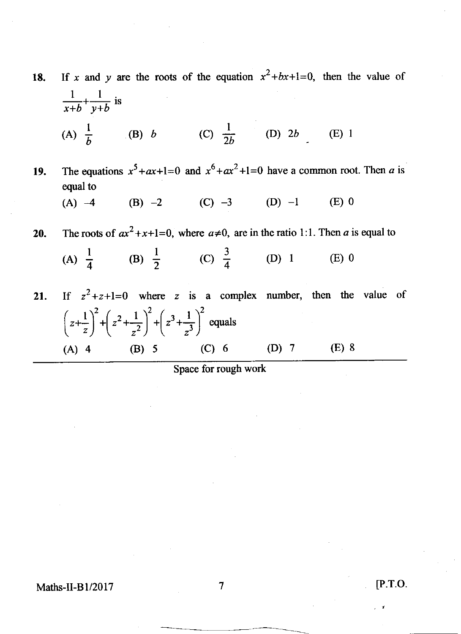- 18. If x and y are the roots of the equation  $x^2 + bx + 1 = 0$ , then the value of  $\mathbf{1}$  $\ddotsc$  $\overline{x+b}$  +  $\overline{y+b}$  is (A)  $\frac{1}{b}$  (B) b (C)  $\frac{1}{2b}$  (D) 2b (E) 1
- 19. The equations  $x^5 + ax + 1 = 0$  and  $x^6 + ax^2 + 1 = 0$  have a common root. Then a is equal to

 $(A) -4$ (B)  $-2$  (C)  $-3$  (D)  $-1$  (E) 0

20. The roots of  $ax^2+x+1=0$ , where  $a\neq 0$ , are in the ratio 1:1. Then a is equal to

(C)  $\frac{3}{4}$ (A)  $\frac{1}{4}$  (B)  $\frac{1}{2}$  (C)  $\frac{3}{4}$  (D) 1 (E) 0 + (B)  $\overline{2}$ 

21. If  $z^2+z+1=0$  where z is a complex number, then the value of  $z+\frac{1}{z}\bigg)^2+\bigg(z^2+\frac{1}{z^2}\bigg)^2+\bigg(z^3+\frac{1}{z^3}\bigg)^2$  $+\frac{1}{2}$ z  $+\left( z^3 + \frac{1}{3} \right)$ z equals (A) 4 (B) <sup>s</sup> (c) 6 (D) 7 (E) <sup>8</sup>

Space for rough work

Maths-II-B $1/2017$  7 [P.T.O.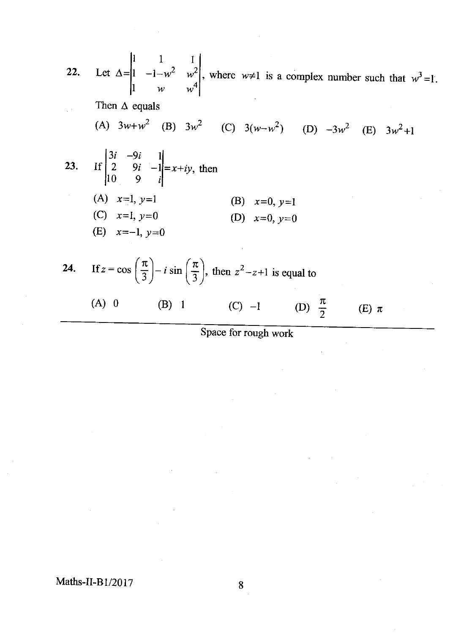22. Let 
$$
\Delta = \begin{vmatrix} 1 & 1 & 1 \ 1 & -1-w^2 & w^2 \ 1 & w & w^4 \end{vmatrix}
$$
, where  $w \neq 1$  is a complex number such that  $w^3 = 1$ .  
\nThen  $\Delta$  equals  
\n(A)  $3w + w^2$  (B)  $3w^2$  (C)  $3(w-w^2)$  (D)  $-3w^2$  (E)  $3w^2 + 1$   
\n23. If  $\begin{vmatrix} 3i & -9i & 1 \ 2 & 9i & -1 \ 10 & 9 & i \end{vmatrix} = x + iy$ , then  
\n(A)  $x = 1, y = 1$  (B)  $x = 0, y = 1$   
\n(C)  $x = 1, y = 0$  (D)  $x = 0, y = 0$   
\n(E)  $x = -1, y = 0$   
\n24. If  $z = \cos(\frac{\pi}{3}) - i \sin(\frac{\pi}{3})$ , then  $z^2 - z + 1$  is equal to  
\n(A) 0 (B) 1 (C) -1 (D)  $\frac{\pi}{2}$  (E)  $\pi$ 

 $\mathcal{O}(\mathcal{O}_{\mathcal{O}_{\mathcal{O}_{\mathcal{O}_{\mathcal{O}}}}})$ 

Space for rough work

 $\hat{\mathcal{A}}$ 

 $\mathcal{L}^{\text{max}}_{\text{max}}$  and  $\mathcal{L}^{\text{max}}_{\text{max}}$ 

 $\sim$ 

 $\hat{\mathcal{A}}$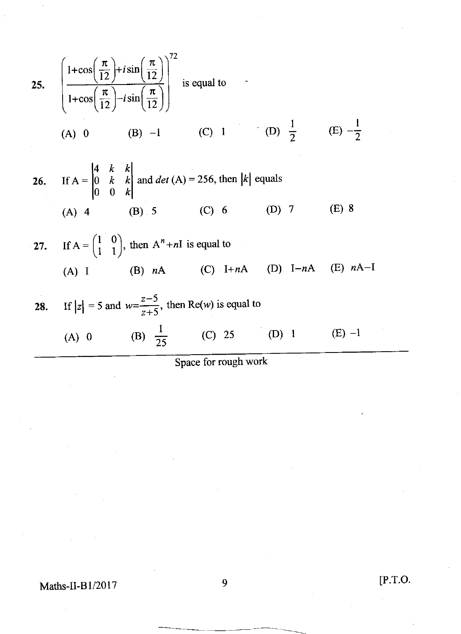25. 
$$
\left(\frac{1+\cos\left(\frac{\pi}{12}\right)+i\sin\left(\frac{\pi}{12}\right)}{1+\cos\left(\frac{\pi}{12}\right)-i\sin\left(\frac{\pi}{12}\right)}\right)^{72}
$$
 is equal to  
\n(A) 0 (B) -1 (C) 1 (D)  $\frac{1}{2}$  (E)  $-\frac{1}{2}$   
\n26. If A =  $\begin{vmatrix} 4 & k & k \\ 0 & k & k \\ 0 & 0 & k \end{vmatrix}$  and det (A) = 256, then |k| equals  
\n(A) 4 (B) 5 (C) 6 (D) 7 (E) 8

27. If 
$$
A = \begin{pmatrix} 1 & 0 \\ 1 & 1 \end{pmatrix}
$$
, then  $A^n + nI$  is equal to  
\n(A) I (B) nA (C) I+nA (D) I-nA (E) nA-I

28. If 
$$
|z| = 5
$$
 and  $w = \frac{z-5}{z+5}$ , then Re(*w*) is equal to  
\n(A) 0 \n(B)  $\frac{1}{25}$  \n(C) 25 \n(D) 1 \n(E) -1

Maths-II-B1/2017 9 [P.T.O.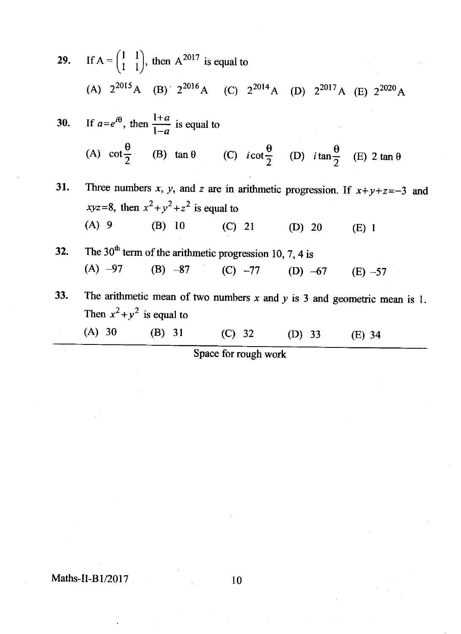|     | 29. If $A = \begin{pmatrix} 1 & 1 \\ 1 & 1 \end{pmatrix}$ , then $A^{2017}$ is equal to                                       |  |                      |  |                                                                              |
|-----|-------------------------------------------------------------------------------------------------------------------------------|--|----------------------|--|------------------------------------------------------------------------------|
|     | (A) $2^{2015}$ A (B) $2^{2016}$ A (C) $2^{2014}$ A (D) $2^{2017}$ A (E) $2^{2020}$ A                                          |  |                      |  |                                                                              |
|     | 30. If $a=e^{i\theta}$ , then $\frac{1+a}{1-a}$ is equal to                                                                   |  |                      |  |                                                                              |
|     | (A) $\cot \frac{\theta}{2}$ (B) $\tan \theta$ (C) $i \cot \frac{\theta}{2}$ (D) $i \tan \frac{\theta}{2}$ (E) $2 \tan \theta$ |  |                      |  |                                                                              |
| 31. | xyz=8, then $x^2+y^2+z^2$ is equal to                                                                                         |  |                      |  | Three numbers x, y, and z are in arithmetic progression. If $x+y+z=-3$ and   |
|     | (A) 9 (B) 10 (C) 21 (D) 20                                                                                                    |  |                      |  | $(E)$ 1                                                                      |
| 32. | The 30 <sup>th</sup> term of the arithmetic progression 10, 7, 4 is                                                           |  |                      |  |                                                                              |
|     | (A) $-97$ (B) $-87$ (C) $-77$ (D) $-67$ (E) $-57$                                                                             |  |                      |  |                                                                              |
| 33. |                                                                                                                               |  |                      |  | The arithmetic mean of two numbers $x$ and $y$ is 3 and geometric mean is 1. |
|     | Then $x^2 + y^2$ is equal to                                                                                                  |  |                      |  |                                                                              |
|     | (A) 30 (B) 31 (C) 32 (D) 33 (E) 34                                                                                            |  |                      |  |                                                                              |
|     |                                                                                                                               |  | Space for rough work |  |                                                                              |

## Maths-II-B1/2017 10

 $\ddot{\phantom{0}}$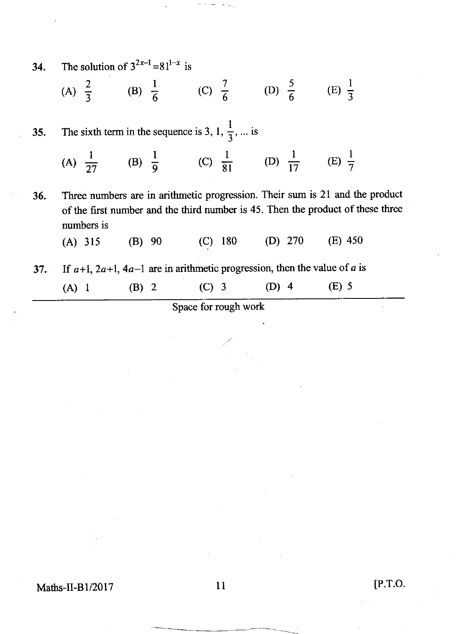|     |            | 34. The solution of $3^{2x-1} = 81^{1-x}$ is |                                                                                                                                                                 |         |  |
|-----|------------|----------------------------------------------|-----------------------------------------------------------------------------------------------------------------------------------------------------------------|---------|--|
|     |            |                                              | (A) $\frac{2}{3}$ (B) $\frac{1}{6}$ (C) $\frac{7}{6}$ (D) $\frac{5}{6}$ (E) $\frac{1}{3}$                                                                       |         |  |
| 35. |            |                                              | The sixth term in the sequence is 3, 1, $\frac{1}{3}$ ,  is                                                                                                     |         |  |
|     |            |                                              | (A) $\frac{1}{27}$ (B) $\frac{1}{9}$ (C) $\frac{1}{81}$ (D) $\frac{1}{17}$ (E) $\frac{1}{7}$                                                                    |         |  |
| 36. | numbers is |                                              | Three numbers are in arithmetic progression. Their sum is 21 and the product<br>of the first number and the third number is 45. Then the product of these three |         |  |
|     |            |                                              | (A) 315 (B) 90 (C) 180 (D) 270 (E) 450                                                                                                                          |         |  |
| 37. |            |                                              | If $a+1$ , $2a+1$ , $4a-1$ are in arithmetic progression, then the value of a is                                                                                |         |  |
|     |            |                                              | (A) 1 (B) 2 (C) 3 (D) 4                                                                                                                                         | $(E)$ 5 |  |
|     |            |                                              | $\mathbf{r} = \mathbf{r} + \mathbf{r}$                                                                                                                          |         |  |

Maths-II-B1/2017 11 [P.T.O.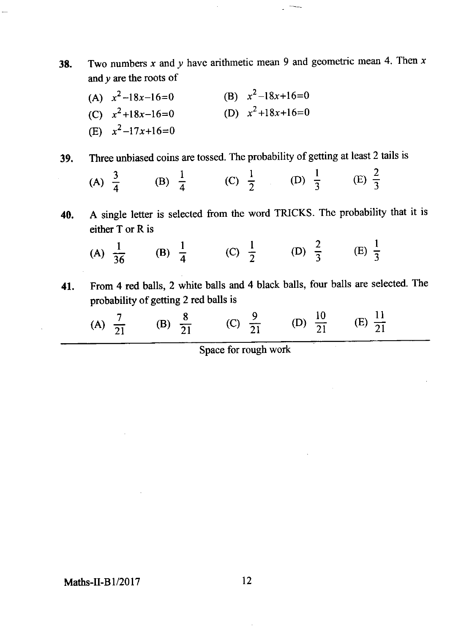- 38. Two numbers x and y have arithmetic mean 9 and geometric mean 4. Then x and y are the roots of
	- (A)  $x^2-18x-16=0$  (B)  $x^2-18x+16=0$ <br>(C)  $x^2+18x-16=0$  (D)  $x^2+18x+16=0$ (C)  $x^2+18x-16=0$ (E)  $x^2-17x+16=0$

39. Three unbiased coins are tossed. The probability of getting at least 2 tails is

(A) 
$$
\frac{3}{4}
$$
 (B)  $\frac{1}{4}$  (C)  $\frac{1}{2}$  (D)  $\frac{1}{3}$  (E)  $\frac{2}{3}$ 

40. A single letter is selected from the word TRICKS. The probability that it is either T or R is

(A) 
$$
\frac{1}{36}
$$
 (B)  $\frac{1}{4}$  (C)  $\frac{1}{2}$  (D)  $\frac{2}{3}$  (E)  $\frac{1}{3}$ 

41. From 4 red balls, 2 white balls and 4 black balls, four balls are selected. The probability of getting 2 red balls is

(A) 
$$
\frac{7}{21}
$$
 (B)  $\frac{8}{21}$  (C)  $\frac{9}{21}$  (D)  $\frac{10}{21}$  (E)  $\frac{11}{21}$ 

Space for rough work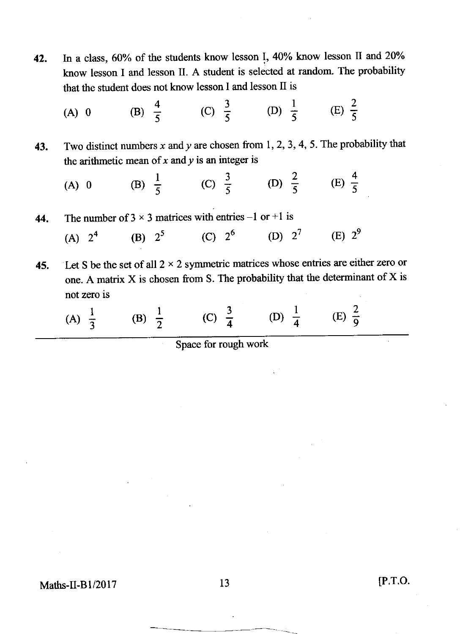- 42. In a class,  $60\%$  of the students know lesson I, 40% know lesson II and 20% know lesson I and lesson II. A student is selected at random. The probability that the student does not know lesson I and lesson II is
	- (A) 0 (B)  $\frac{4}{5}$  (C)  $\frac{3}{5}$  (D)  $\frac{1}{5}$  (E)  $\frac{2}{5}$

43. Two distinct numbers x and y are chosen from 1, 2, 3, 4, 5. The probability that the arithmetic mean of  $x$  and  $y$  is an integer is

(A) 0 (B)  $\frac{1}{5}$  (C)  $\frac{3}{5}$  (D)  $\frac{2}{5}$  (E)  $\frac{4}{5}$ 

44 The number of  $3 \times 3$  matrices with entries -1 or +1 is

- (A)  $2^4$  (B)  $2^5$  (C)  $2^6$  (D)  $2^7$  (E)  $2^9$
- 45. Let S be the set of all  $2 \times 2$  symmetric matrices whose entries are either zero or one. A matrix X is chosen from S. The probability that the determinant of X is not zero is

(A) 
$$
\frac{1}{3}
$$
 (B)  $\frac{1}{2}$  (C)  $\frac{3}{4}$  (D)  $\frac{1}{4}$  (E)  $\frac{2}{9}$ 

Space for rough work

Maths-II-B1/2017 13 [P.T.O.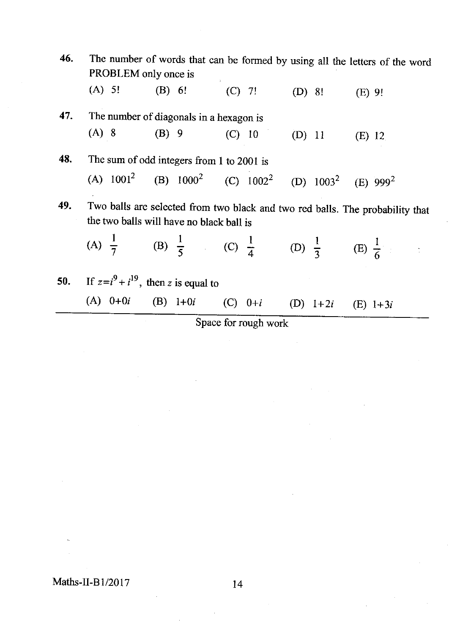| 46. | The number of words that can be formed by using all the letters of the word<br>PROBLEM only once is                       |  |  |                       |  |  |
|-----|---------------------------------------------------------------------------------------------------------------------------|--|--|-----------------------|--|--|
|     | (A) 5! (B) 6! (C) 7! (D) 8! (E) 9!                                                                                        |  |  |                       |  |  |
| 47. | The number of diagonals in a hexagon is                                                                                   |  |  |                       |  |  |
|     | (A) 8 (B) 9 (C) 10 (D) 11 (E) 12                                                                                          |  |  |                       |  |  |
| 48. | The sum of odd integers from 1 to 2001 is                                                                                 |  |  |                       |  |  |
|     | (A) $1001^2$ (B) $1000^2$ (C) $1002^2$ (D) $1003^2$ (E) $999^2$                                                           |  |  |                       |  |  |
| 49. | Two balls are selected from two black and two red balls. The probability that<br>the two balls will have no black ball is |  |  |                       |  |  |
|     | (A) $\frac{1}{7}$ (B) $\frac{1}{5}$ (C) $\frac{1}{4}$ (D) $\frac{1}{3}$ (E) $\frac{1}{6}$                                 |  |  |                       |  |  |
|     | 50. If $z=i^9+i^{19}$ , then z is equal to                                                                                |  |  |                       |  |  |
|     | (A) $0+0i$ (B) $1+0i$ (C) $0+i$                                                                                           |  |  | (D) $1+2i$ (E) $1+3i$ |  |  |

Maths-II-B1/2017 14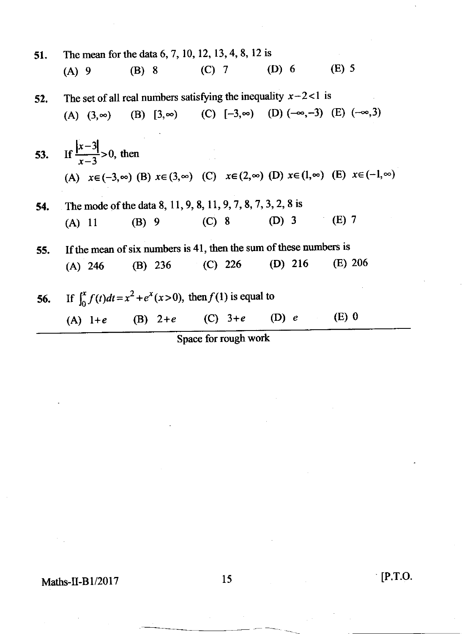| 51. |                                       | The mean for the data 6, 7, 10, 12, 13, 4, 8, 12 is                                                                       |  |  |           |
|-----|---------------------------------------|---------------------------------------------------------------------------------------------------------------------------|--|--|-----------|
|     |                                       | (A) 9 (B) 8 (C) 7 (D) 6 (E) 5                                                                                             |  |  |           |
| 52. |                                       | The set of all real numbers satisfying the inequality $x-2<1$ is                                                          |  |  |           |
|     |                                       | (A) $(3, \infty)$ (B) $[3, \infty)$ (C) $[-3, \infty)$ (D) $(-\infty, -3)$ (E) $(-\infty, 3)$                             |  |  |           |
|     | 53. If $\frac{ x-3 }{x-3} > 0$ , then |                                                                                                                           |  |  |           |
|     |                                       | (A) $x \in (-3, \infty)$ (B) $x \in (3, \infty)$ (C) $x \in (2, \infty)$ (D) $x \in (1, \infty)$ (E) $x \in (-1, \infty)$ |  |  |           |
| 54. |                                       | The mode of the data 8, 11, 9, 8, 11, 9, 7, 8, 7, 3, 2, 8 is                                                              |  |  |           |
|     |                                       | (A) 11 (B) 9 (C) 8 (D) 3 (E) 7                                                                                            |  |  |           |
| 55. |                                       | If the mean of six numbers is 41, then the sum of these numbers is                                                        |  |  |           |
|     |                                       | (A) 246 (B) 236 (C) 226 (D) 216                                                                                           |  |  | $(E)$ 206 |
|     |                                       |                                                                                                                           |  |  |           |

56. If 
$$
\int_0^x f(t)dt = x^2 + e^x(x>0)
$$
, then  $f(1)$  is equal to  
\n(A) 1+e (B) 2+e (C) 3+e (D) e (E) 0

Maths-II-B1/2017 15 [P.T.O.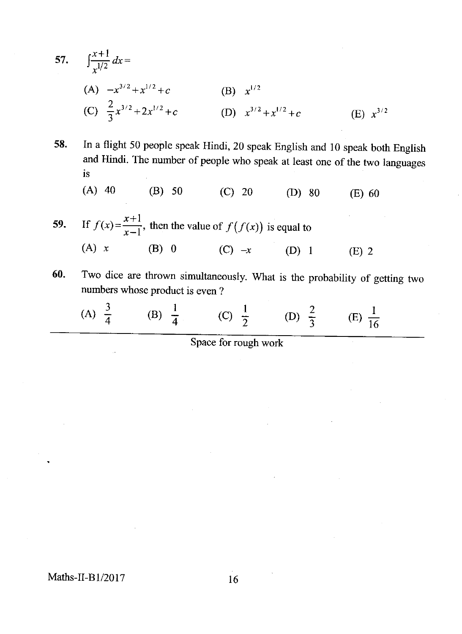57. 
$$
\int \frac{x+1}{x^{1/2}} dx =
$$
  
\n(A)  $-x^{3/2} + x^{1/2} + c$   
\n(B)  $x^{1/2}$   
\n(C)  $\frac{2}{3}x^{3/2} + 2x^{1/2} + c$   
\n(D)  $x^{3/2} + x^{1/2} + c$   
\n(E)  $x^{3/2}$ 

58. In a flight 50 people speak Hindi,20 speak English and l0 speak both English and Hindi. The number of people who speak at least one of the two languages is

(A) 40 (B) 50 (C) 20 (D) 80 (E) 60

59. If  $f(x) = \frac{x+1}{x-1}$ , then the value of  $f(f(x))$  is equal to (A)  $x$  (B) 0 (C)  $-x$  (D) 1 (E) 2

60. Two dice are thrown simultaneously. what is the probability of getting two numbers whose product is even ?

(A) 
$$
\frac{3}{4}
$$
 (B)  $\frac{1}{4}$  (C)  $\frac{1}{2}$  (D)  $\frac{2}{3}$  (E)  $\frac{1}{16}$ 

<del>c</del> iol rough work

Maths-II-B1/2017 16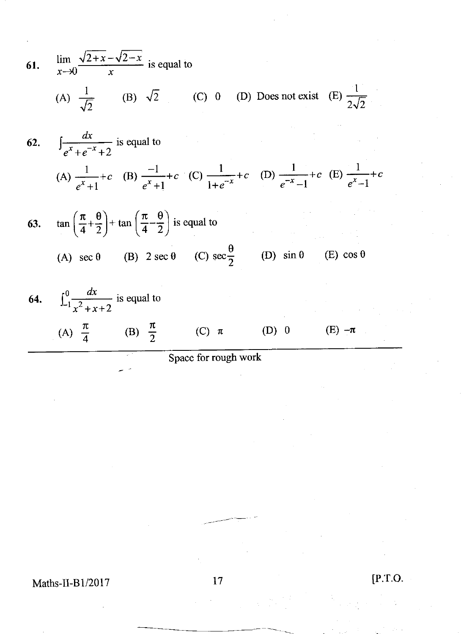61. 
$$
\lim_{x\to 0} \frac{\sqrt{2+x}-\sqrt{2-x}}{x}
$$
 is equal to  
\n(A)  $\frac{1}{\sqrt{2}}$  (B)  $\sqrt{2}$  (C) 0 (D) Does not exist (E)  $\frac{1}{2\sqrt{2}}$   
\n62. 
$$
\int \frac{dx}{e^x + e^{-x} + 2}
$$
 is equal to  
\n(A)  $\frac{1}{e^x + 1} + c$  (B)  $\frac{-1}{e^x + 1} + c$  (C)  $\frac{1}{1 + e^{-x}} + c$  (D)  $\frac{1}{e^{-x} - 1} + c$  (E)  $\frac{1}{e^x - 1} + c$   
\n63. 
$$
\tan\left(\frac{\pi}{4} + \frac{\theta}{2}\right) + \tan\left(\frac{\pi}{4} - \frac{\theta}{2}\right)
$$
 is equal to  
\n(A)  $\sec \theta$  (B)  $2 \sec \theta$  (C)  $\sec \frac{\theta}{2}$  (D)  $\sin \theta$  (E)  $\cos \theta$   
\n64. 
$$
\int_{-1}^{0} \frac{dx}{x^2 + x + 2}
$$
 is equal to  
\n(A)  $\frac{\pi}{4}$  (B)  $\frac{\pi}{2}$  (C)  $\pi$  (D) 0 (E)  $-\pi$   
\nSpace for rough work

Maths-II-B1/2017 17 [P.T.O.

 $\overline{\phantom{a}}$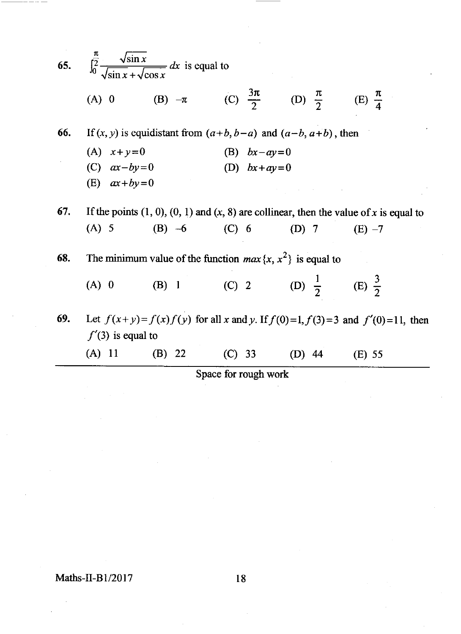|            |                     | 65. $\int_0^{\frac{\pi}{2}} \frac{\sqrt{\sin x}}{\sqrt{\sin x} + \sqrt{\cos x}} dx$ is equal to |                                                 |          |  |
|------------|---------------------|-------------------------------------------------------------------------------------------------|-------------------------------------------------|----------|--|
|            |                     | (A) 0 (B) $-\pi$ (C) $\frac{3\pi}{2}$ (D) $\frac{\pi}{2}$ (E) $\frac{\pi}{4}$                   |                                                 |          |  |
| 66.        |                     | If $(x, y)$ is equidistant from $(a+b, b-a)$ and $(a-b, a+b)$ , then                            |                                                 |          |  |
|            | (A) $x+y=0$         |                                                                                                 | (B) $bx - ay = 0$                               |          |  |
|            | (C) $ax-by=0$       |                                                                                                 | (D) $bx+ay=0$                                   |          |  |
|            | (E) $ax+by=0$       |                                                                                                 |                                                 |          |  |
| <b>67.</b> |                     | If the points $(1, 0)$ , $(0, 1)$ and $(x, 8)$ are collinear, then the value of x is equal to   |                                                 |          |  |
|            | $(A)$ 5             | (B) $-6$ (C) 6 (D) 7                                                                            |                                                 | (E) $-7$ |  |
| 68.        |                     | The minimum value of the function $max\{x, x^2\}$ is equal to                                   |                                                 |          |  |
|            | $(A)$ 0             |                                                                                                 | (B) 1 (C) 2 (D) $\frac{1}{2}$ (E) $\frac{3}{2}$ |          |  |
| 69.        | $f'(3)$ is equal to | Let $f(x+y)=f(x)f(y)$ for all x and y. If $f(0)=1, f(3)=3$ and $f'(0)=11$ , then                |                                                 |          |  |
|            |                     | (A) 11 (B) 22 (C) 33 (D) 44                                                                     |                                                 | $(E)$ 55 |  |
|            |                     |                                                                                                 | Space for rough work                            |          |  |

### Maths-II-B1/2017 18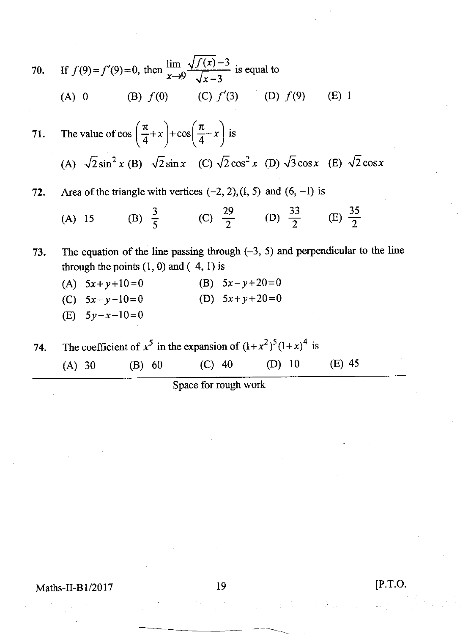70. If 
$$
f(9)=f'(9)=0
$$
, then  $\frac{\lim_{x\to 9} \sqrt{f(x)-3}}{\sqrt{x}-3}$  is equal to  
\n(A) 0 (B)  $f(0)$  (C)  $f'(3)$  (D)  $f(9)$  (E) 1  
\n71. The value of  $\cos\left(\frac{\pi}{4}+x\right)+\cos\left(\frac{\pi}{4}-x\right)$  is  
\n(A)  $\sqrt{2}\sin^2 x$  (B)  $\sqrt{2}\sin x$  (C)  $\sqrt{2}\cos^2 x$  (D)  $\sqrt{3}\cos x$  (E)  $\sqrt{2}\cos x$   
\n72. Area of the triangle with vertices (-2, 2), (1, 5) and (6, -1) is  
\n(A) 15 (B)  $\frac{3}{5}$  (C)  $\frac{29}{2}$  (D)  $\frac{33}{2}$  (E)  $\frac{35}{2}$   
\n73. The equation of the line passing through (-3, 5) and perpendicular to the line  
\nthrough the points (1, 0) and (-4, 1) is  
\n(A)  $5x+y+10=0$  (B)  $5x-y+20=0$   
\n(C)  $5x-y-10=0$  (D)  $5x+y+20=0$   
\n(E)  $5y-x-10=0$ 

74. The coefficient of  $x^5$  in the expansion of  $(1+x^2)^5(1+x)^4$  is (A) 30 (B) 60 (C) 40 (D) 10 (E) 45

Space for rough work

Maths-II-B1/2017 19 19 [P.T.O.]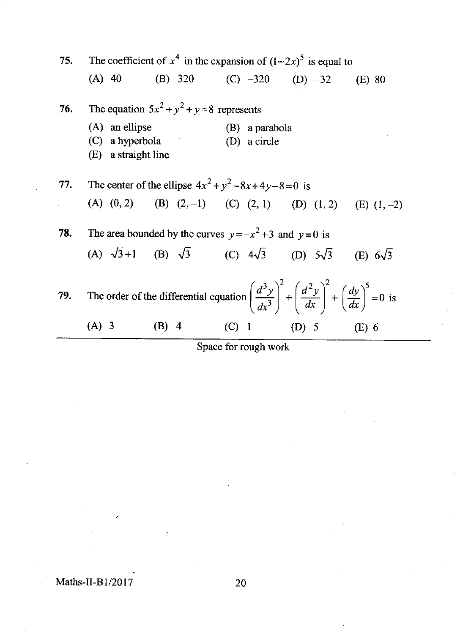| 75. | The coefficient of $x^4$ in the expansion of $(1-2x)^5$ is equal to |                                              |                                                                                                                                                  |         |         |
|-----|---------------------------------------------------------------------|----------------------------------------------|--------------------------------------------------------------------------------------------------------------------------------------------------|---------|---------|
|     | $(A)$ 40                                                            |                                              | (B) 320 (C) $-320$ (D) $-32$ (E) 80                                                                                                              |         |         |
| 76. |                                                                     | The equation $5x^2 + y^2 + y = 8$ represents |                                                                                                                                                  |         |         |
|     | $(A)$ an ellipse                                                    |                                              | (B) a parabola                                                                                                                                   |         |         |
|     | $(C)$ a hyperbola<br>(E) a straight line                            |                                              | (D) a circle                                                                                                                                     |         |         |
| 77. |                                                                     |                                              | The center of the ellipse $4x^2 + y^2 - 8x + 4y - 8 = 0$ is                                                                                      |         |         |
|     |                                                                     |                                              | (A) $(0, 2)$ (B) $(2, -1)$ (C) $(2, 1)$ (D) $(1, 2)$ (E) $(1, -2)$                                                                               |         |         |
| 78. |                                                                     |                                              | The area bounded by the curves $y=-x^2+3$ and $y=0$ is                                                                                           |         |         |
|     |                                                                     |                                              | (A) $\sqrt{3}+1$ (B) $\sqrt{3}$ (C) $4\sqrt{3}$ (D) $5\sqrt{3}$ (E) $6\sqrt{3}$                                                                  |         |         |
| 79. |                                                                     |                                              | The order of the differential equation $\left(\frac{d^3y}{dx^3}\right)^2 + \left(\frac{d^2y}{dx}\right)^2 + \left(\frac{dy}{dx}\right)^5 = 0$ is |         |         |
|     | $(A)$ 3                                                             | $(B)$ 4                                      | $(C)$ 1                                                                                                                                          | $(D)$ 5 | $(E)$ 6 |
|     |                                                                     |                                              | Snace for rough work                                                                                                                             |         |         |

 $\frac{1}{2}$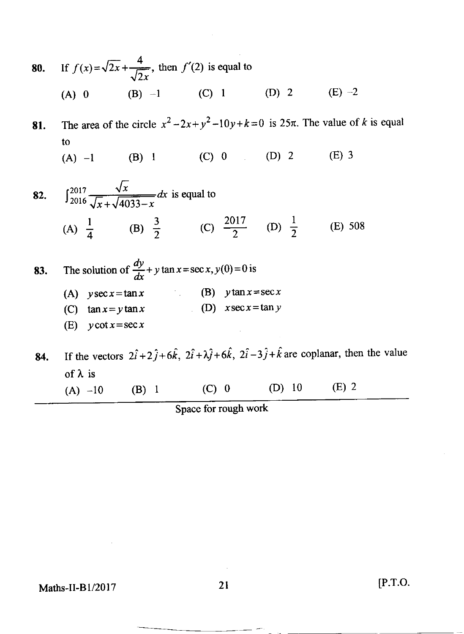**80.** If  $f(x) = \sqrt{2x} + \frac{4}{\sqrt{2x}}$ , then  $f'(2)$  is equal to (A)  $0$  (B)  $-1$  (C) 1 (D) 2 (E)  $-2$ 

81. The area of the circle  $x^2-2x+y^2-10y+k=0$  is 25 $\pi$ . The value of k is equal to

(c) <sup>0</sup> (A) -l (B) <sup>I</sup> (D) 2 (E) <sup>3</sup>

82. 
$$
\int_{2016}^{2017} \frac{\sqrt{x}}{\sqrt{x} + \sqrt{4033 - x}} dx
$$
 is equal to  
\n(A)  $\frac{1}{4}$  (B)  $\frac{3}{2}$  (C)  $\frac{2017}{2}$  (D)  $\frac{1}{2}$  (E) 508

\n- **83.** The solution of 
$$
\frac{dy}{dx} + y \tan x = \sec x
$$
,  $y(0) = 0$  is
\n- (A)  $y \sec x = \tan x$
\n- (B)  $y \tan x = \sec x$
\n- (C)  $\tan x = y \tan x$
\n- (D)  $x \sec x = \tan y$
\n- (E)  $y \cot x = \sec x$
\n- **84.** If the vectors  $2\hat{i} + 2\hat{j} + 6\hat{k}$ ,  $2\hat{i} + \lambda\hat{j} + 6\hat{k}$ ,  $2\hat{i} - 3\hat{j} + \hat{k}$  are copla
\n

anar, then the value of  $\lambda$  is

(A) -10 (B) <sup>I</sup> (c) <sup>0</sup> (D) lo (E) <sup>2</sup>

Space for rough work

Maths-II-B1/2017 21 [P.T.O.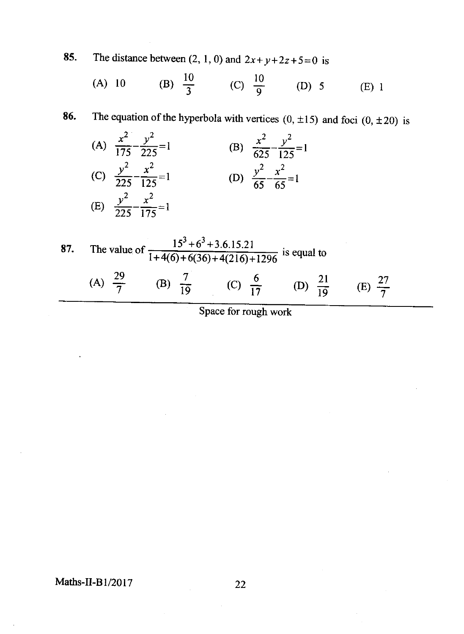85. The distance between  $(2, 1, 0)$  and  $2x+y+2z+5=0$  is

(A) 10 (B) 
$$
\frac{10}{3}
$$
 (C)  $\frac{10}{9}$  (D) 5 (E) 1

**86.** The equation of the hyperbola with vertices  $(0, \pm 15)$  and foci  $(0, \pm 20)$  is

(A) 
$$
\frac{x^2}{175} - \frac{y^2}{225} = 1
$$
 (B)  $\frac{x^2}{625} - \frac{y^2}{125} = 1$   
\n(C)  $\frac{y^2}{225} - \frac{x^2}{125} = 1$  (D)  $\frac{y^2}{65} - \frac{x^2}{65} = 1$   
\n(E)  $\frac{y^2}{225} - \frac{x^2}{175} = 1$ 

87. The value of 
$$
\frac{15^3 + 6^3 + 3.6.15.21}{1 + 4(6) + 6(36) + 4(216) + 1296}
$$
 is equal to  
\n(A)  $\frac{29}{7}$  (B)  $\frac{7}{19}$  (C)  $\frac{6}{17}$  (D)  $\frac{21}{19}$  (E)  $\frac{27}{7}$ 

Space for rough work

Maths-II-B1/2017 22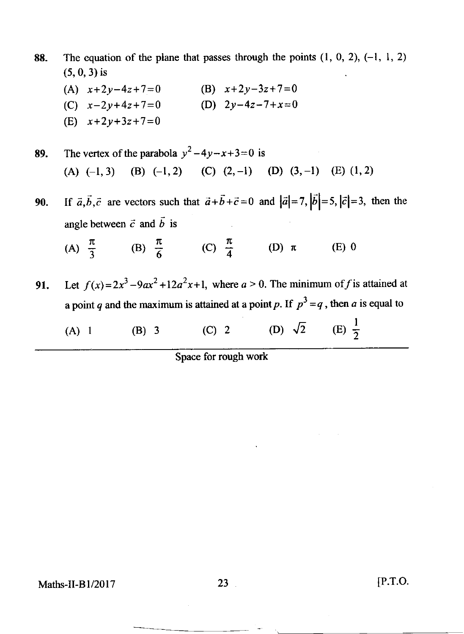| 88. |                   | The equation of the plane that passes through the points $(1, 0, 2)$ , $(-1, 1, 2)$ |
|-----|-------------------|-------------------------------------------------------------------------------------|
|     | $(5, 0, 3)$ is    | $\ddot{\bullet}$                                                                    |
|     | (A) $x+2y-4z+7=0$ | (B) $x+2y-3z+7=0$                                                                   |
|     | (C) $x-2y+4z+7=0$ | (D) $2y-4z-7+x=0$                                                                   |
|     | (E) $x+2y+3z+7=0$ |                                                                                     |
|     |                   |                                                                                     |

89. The vertex of the parabola  $y^2-4y-x+3=0$  is (A)  $(-1,3)$  (B)  $(-1,2)$  (C)  $(2,-1)$  (D)  $(3,-1)$  (E)  $(1,2)$ 

90 If  $\vec{a}, \vec{b}, \vec{c}$  are vectors such that  $\vec{a} + \vec{b} + \vec{c} = 0$  and  $|\vec{a}| = 7$ ,  $|\vec{b}| = 5$ ,  $|\vec{c}| = 3$ , then the angle between  $\vec{c}$  and  $\vec{b}$  is

- (A)  $\frac{\pi}{2}$  (B)  $\frac{\pi}{6}$ 6  $\pi$ J (C)  $\frac{\pi}{4}$  $\frac{\pi}{4}$  (D)  $\pi$  (E) 0
- 91. Let  $f(x)=2x^3-9ax^2+12a^2x+1$ , where  $a > 0$ . The minimum of f is attained at a point q and the maximum is attained at a point p. If  $p^3 = q$ , then a is equal to

| $(A)$ 1 | $(B)$ 3 | $(C)$ 2 | (D) $\sqrt{2}$ (E) $\frac{1}{2}$ |  |
|---------|---------|---------|----------------------------------|--|
|---------|---------|---------|----------------------------------|--|

Space for rough work

Maths-II-B1/2017 23 [P.T.O.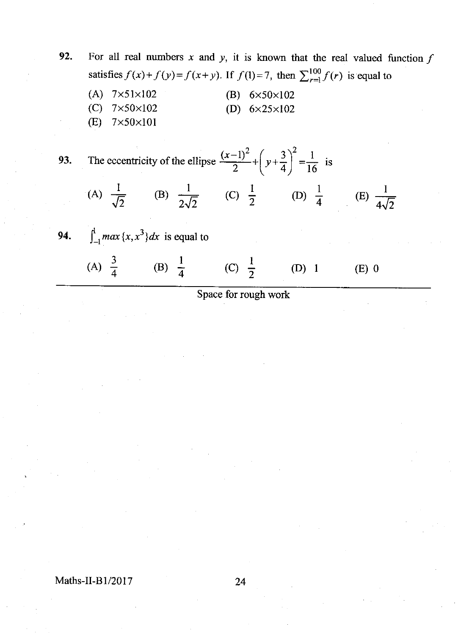92 For all real numbers x and y, it is known that the real valued function  $f$ satisfies  $f(x)+f(y)=f(x+y)$ . If  $f(1)=7$ , then  $\sum_{r=1}^{100} f(r)$  is equal to

- (A)  $7 \times 51 \times 102$  (B)  $6 \times 50 \times 102$
- (C) 7x50x102 (D) 6x25x102
- (E) 7x50x101

93 The eccentricity of the ellipse  $\frac{(x-1)^2}{2} + \left(y + \frac{3}{4}\right)$  $\frac{2}{16}$  is

 $\frac{1}{2}$  (D) **,**<br>د I  $\mathbf{r}$  $\frac{1}{\sqrt{2}}$  (C)  $\frac{1}{2}$  (D)  $\frac{1}{4}$  $\frac{1}{4}$  (E)  $\frac{1}{4\sqrt{2}}$  $(A) \frac{1}{\sqrt{5}}$  (B)  $2\sqrt{2}$ 

94.  $\int_{-1}^{1}$  max {x, x<sup>3</sup>}dx is equal to

> $\frac{1}{4}$  (C) (A)  $\frac{3}{4}$  (B)  $\frac{1}{4}$  (C)  $\frac{1}{2}$  (D) 1 (E) 0 4 I ,

### Space for rough work

Maths-II-B1/2017 24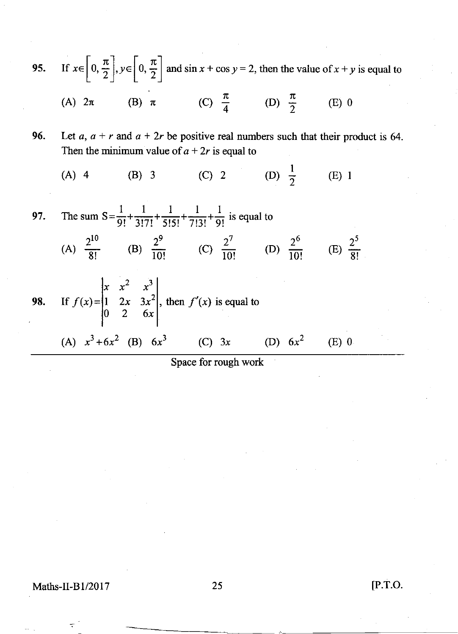95. If 
$$
x \in \left[0, \frac{\pi}{2}\right]
$$
,  $y \in \left[0, \frac{\pi}{2}\right]$  and  $\sin x + \cos y = 2$ , then the value of  $x + y$  is equal to  
\n(A)  $2\pi$  (B)  $\pi$  (C)  $\frac{\pi}{4}$  (D)  $\frac{\pi}{2}$  (E) 0

96 Let a,  $a + r$  and  $a + 2r$  be positive real numbers such that their product is 64. Then the minimum value of  $a + 2r$  is equal to

(A) 4 (B) 3 (C) 2 (D)  $\frac{1}{2}$  (E) 1

97. The sum 
$$
S = \frac{1}{9!} + \frac{1}{3!7!} + \frac{1}{5!5!} + \frac{1}{7!3!} + \frac{1}{9!}
$$
 is equal to  
\n(A)  $\frac{2^{10}}{8!}$  (B)  $\frac{2^9}{10!}$  (C)  $\frac{2^7}{10!}$  (D)  $\frac{2^6}{10!}$  (E)  $\frac{2^5}{8!}$   
\n98. If  $f(x) = \begin{vmatrix} x & x^2 & x^3 \\ 1 & 2x & 3x^2 \\ 0 & 2 & 6x \end{vmatrix}$ , then  $f'(x)$  is equal to  
\n(A)  $x^3 + 6x^2$  (B)  $6x^3$  (C)  $3x$  (D)  $6x^2$  (E) 0

Space for rough work

Maths-II-B1/2017 25 [P.T.O.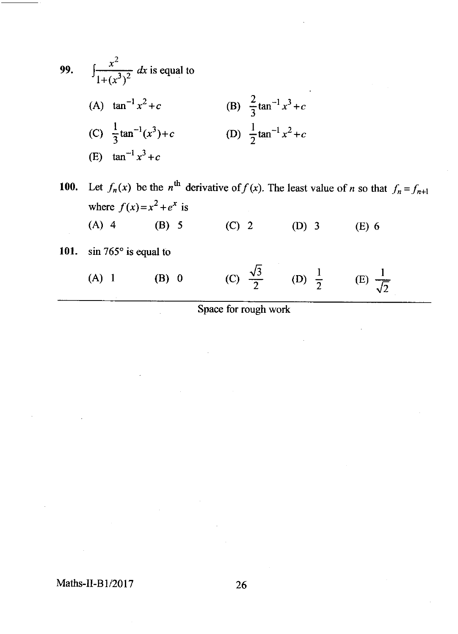99. 
$$
\int \frac{x^2}{1 + (x^3)^2} dx
$$
 is equal to  
\n(A)  $\tan^{-1} x^2 + c$  (B)  $\frac{2}{3} \tan^{-1} x^3 + c$   
\n(C)  $\frac{1}{3} \tan^{-1} (x^3) + c$  (D)  $\frac{1}{2} \tan^{-1} x^2 + c$   
\n(E)  $\tan^{-1} x^3 + c$ 

100. Let  $f_n(x)$  be the  $n^{\text{th}}$  derivative of  $f(x)$ . The least value of n so that  $f_n = f_{n+1}$ where  $f(x)=x^2 + e^x$  is<br>(A) 4 (B) 5 (C) 2 (D) 3 (E) 6 101. sin  $765^\circ$  is equal to

| A | .H |                      | ⌒ |  |
|---|----|----------------------|---|--|
|   |    | Space for rough work |   |  |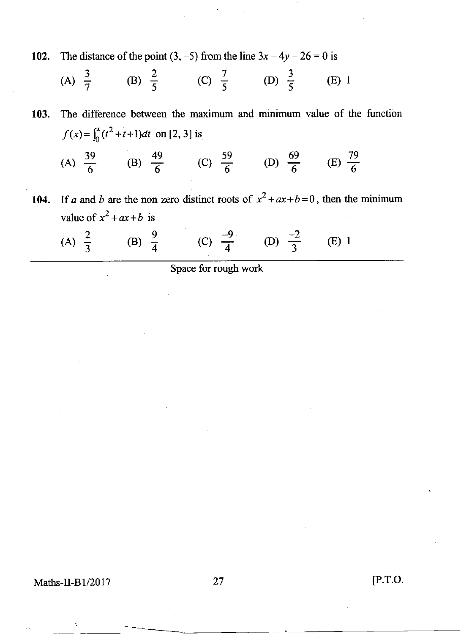102. The distance of the point  $(3, -5)$  from the line  $3x - 4y - 26 = 0$  is

(A) 
$$
\frac{3}{7}
$$
 (B)  $\frac{2}{5}$  (C)  $\frac{7}{5}$  (D)  $\frac{3}{5}$  (E) 1

103. The difference between the maximum and minimum value of the function  $f(x) = \int_0^x (t^2 + t + 1)dt$  on [2, 3] is

(A) 
$$
\frac{39}{6}
$$
 (B)  $\frac{49}{6}$  (C)  $\frac{59}{6}$  (D)  $\frac{69}{6}$  (E)  $\frac{79}{6}$ 

104. If a and b are the non zero distinct roots of  $x^2 + ax + b = 0$ , then the minimum value of  $x^2 + ax + b$  is

|  | (A) $\frac{2}{3}$ | (B) $\frac{9}{4}$ | (C) $\frac{-9}{4}$ | (D) $\frac{-2}{3}$ (E) 1 |  |
|--|-------------------|-------------------|--------------------|--------------------------|--|
|--|-------------------|-------------------|--------------------|--------------------------|--|

| Space for rough work |  |  |  |
|----------------------|--|--|--|
|----------------------|--|--|--|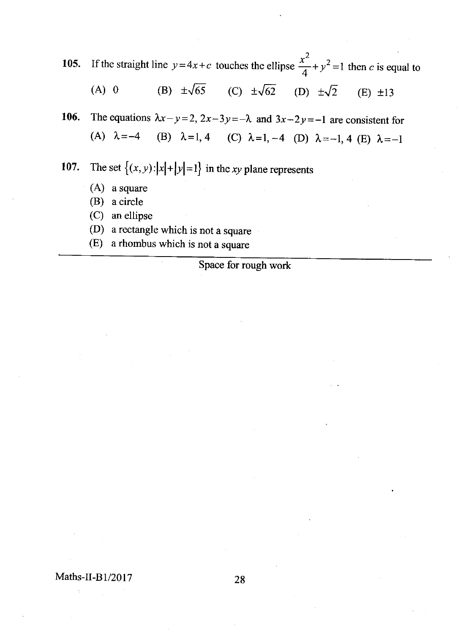10s. If the straight line  $y=4x+c$  touches the ellipse  $\frac{x^2}{4}+y^2=1$  then c is equal to

(A) 0 (B)  $\pm\sqrt{65}$  (C)  $\pm\sqrt{62}$  (D)  $\pm\sqrt{2}$  (E)  $\pm13$ 

106. The equations  $\lambda x - y = 2$ ,  $2x-3y = -\lambda$  and  $3x-2y=-1$  are consistent for (A)  $\lambda = -4$  (B)  $\lambda = 1, 4$  (C)  $\lambda = 1, -4$  (D)  $\lambda = -1, 4$  (E)  $\lambda = -1$ 

107. The set  $\{(x, y) : |x| + |y| = 1\}$  in the *xy* plane represents

- (A) a square
- (B) a circle
- (C) an ellipse
- (D) a rectangle which is not a square
- (E) a rhombus which is not a square

#### Space for rough work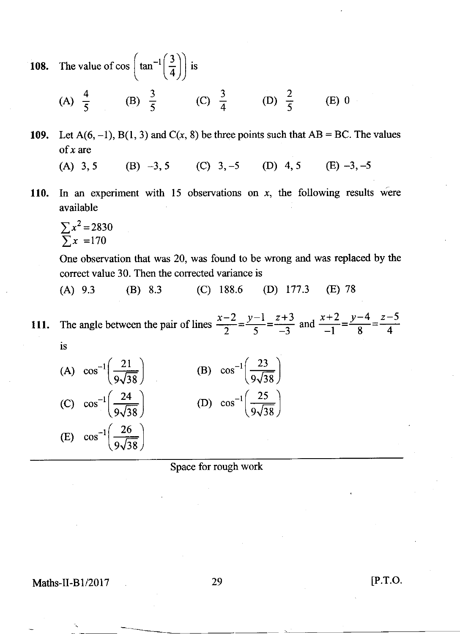**108.** The value of  $\cos \left( \tan^{-1} \left( \frac{3}{4} \right) \right)$  i  $(4)$ )  $^{-}$ 

(A)  $\frac{4}{5}$  (B)  $\frac{3}{5}$  (C)  $\frac{3}{4}$  (D)  $\frac{2}{5}$ (E) 0

109. Let  $A(6, -1)$ ,  $B(1, 3)$  and  $C(x, 8)$  be three points such that  $AB = BC$ . The values of  $x$  are

(A) 3, 5 (B)  $-3$ , 5 (C) 3, -5 (D) 4, 5 (E) -3, -5

110. In an experiment with 15 observations on  $x$ , the following results were available

$$
\sum x^2 = 2830
$$
  

$$
\sum x = 170
$$

One observation that was 20, was found to be wrong and was replaced by the correct value 30. Then the corrected variance is

(A) 9.3 (B) 8.3 (C) 188.6 (D) 177.3 (E) 78

I 11. IS The angle between the pair of lines  $\frac{x-2}{2} = \frac{y-1}{5} = \frac{z+3}{-3}$  and  $\frac{x+2}{-1} = \frac{y-4}{8} = \frac{z-5}{4}$ 



#### Space for rough work

Maths-II-B1/2017 29 [P.T.O.]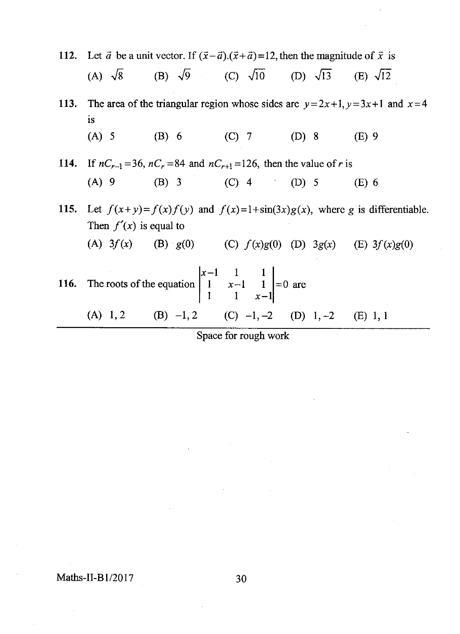| 112. Let $\vec{a}$ be a unit vector. If $(\vec{x} - \vec{a}) \cdot (\vec{x} + \vec{a}) = 12$ , then the magnitude of $\vec{x}$ is |                                                                                                                  |  |  |                                                                                      |
|-----------------------------------------------------------------------------------------------------------------------------------|------------------------------------------------------------------------------------------------------------------|--|--|--------------------------------------------------------------------------------------|
|                                                                                                                                   | (A) $\sqrt{8}$ (B) $\sqrt{9}$ (C) $\sqrt{10}$ (D) $\sqrt{13}$ (E) $\sqrt{12}$                                    |  |  |                                                                                      |
| is                                                                                                                                |                                                                                                                  |  |  | 113. The area of the triangular region whose sides are $y=2x+1$ , $y=3x+1$ and $x=4$ |
|                                                                                                                                   | (A) 5 (B) 6 (C) 7 (D) 8 (E) 9                                                                                    |  |  |                                                                                      |
| 114. If $nC_{r-1} = 36$ , $nC_r = 84$ and $nC_{r+1} = 126$ , then the value of r is                                               |                                                                                                                  |  |  |                                                                                      |
|                                                                                                                                   | (A) 9 (B) 3 (C) 4 (D) 5 (E) 6                                                                                    |  |  |                                                                                      |
| 115. Let $f(x+y)=f(x)f(y)$ and $f(x)=1+\sin(3x)g(x)$ , where g is differentiable.<br>Then $f'(x)$ is equal to                     |                                                                                                                  |  |  |                                                                                      |
|                                                                                                                                   | (A) $3f(x)$ (B) $g(0)$ (C) $f(x)g(0)$ (D) $3g(x)$ (E) $3f(x)g(0)$                                                |  |  |                                                                                      |
|                                                                                                                                   | 116. The roots of the equation $\begin{vmatrix} x-1 & 1 & 1 \\ 1 & x-1 & 1 \\ 1 & 1 & x-1 \end{vmatrix} = 0$ are |  |  |                                                                                      |
|                                                                                                                                   | (A) 1, 2 (B) $-1, 2$ (C) $-1, -2$ (D) 1, -2 (E) 1, 1                                                             |  |  |                                                                                      |

Maths-II-B1/2017 30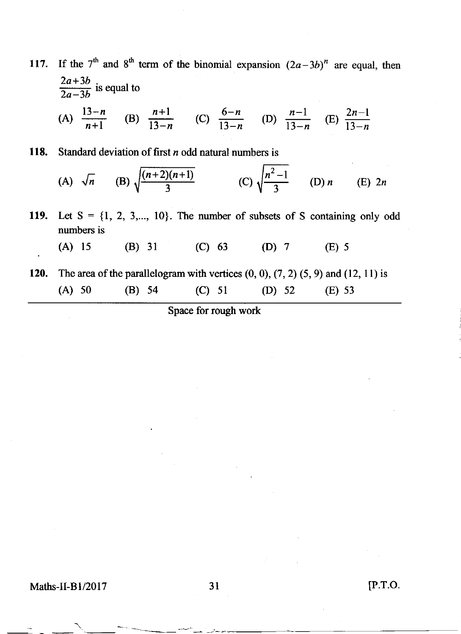117. If the 7<sup>th</sup> and 8<sup>th</sup> term of the binomial expansion  $(2a-3b)^n$  are equal, then  $2a+3b$ .  $\frac{1}{2a-3b}$  is equal to (A)  $\frac{13-n}{n+1}$  (B)  $\frac{n+1}{13-n}$  (C)  $\frac{6-n}{13-n}$  (D)  $\frac{n-1}{13-n}$  (E)  $\frac{2n-1}{13-n}$ 

118. Standard deviation of first  $n$  odd natural numbers is

(A) 
$$
\sqrt{n}
$$
 (B)  $\sqrt{\frac{(n+2)(n+1)}{3}}$  (C)  $\sqrt{\frac{n^2-1}{3}}$  (D) n (E) 2n

119. Let  $S = \{1, 2, 3,..., 10\}$ . The number of subsets of S containing only odd numbers is

(A) 15 (B) 31 (C) 63 (D) 7 (E) 5

120. The area of the parallelogram with vertices  $(0, 0)$ ,  $(7, 2)$   $(5, 9)$  and  $(12, 11)$  is (A) 50 (B) 54 (C) 51 (D) 52 (E) 53

Space for rough work

Maths-II-B1/2017 31 [P.T.O.